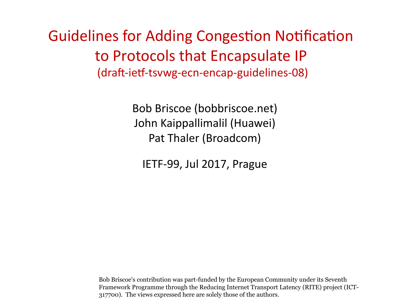Guidelines for Adding Congestion Notification to Protocols that Encapsulate IP (draft-ietf-tsvwg-ecn-encap-guidelines-08)

> Bob Briscoe (bobbriscoe.net) John Kaippallimalil (Huawei) Pat Thaler (Broadcom)

IETF-99, Jul 2017, Prague

Bob Briscoe's contribution was part-funded by the European Community under its Seventh Framework Programme through the Reducing Internet Transport Latency (RITE) project (ICT-317700). The views expressed here are solely those of the authors.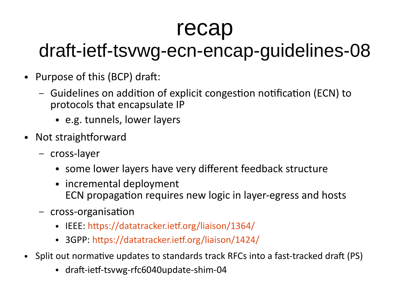## recap

## draft-ietf-tsvwg-ecn-encap-guidelines-08

- Purpose of this (BCP) draft:
	- Guidelines on addition of explicit congestion notification (ECN) to protocols that encapsulate IP
		- e.g. tunnels, lower layers
- Not straightforward
	- cross-layer
		- some lower layers have very different feedback structure
		- incremental deployment ECN propagation requires new logic in layer-egress and hosts
	- cross-organisation
		- IEEE: <https://datatracker.ietf.org/liaison/1364/>
		- 3GPP: <https://datatracker.ietf.org/liaison/1424/>
- Split out normative updates to standards track RFCs into a fast-tracked draft (PS)
	- draft-ietf-tsvwg-rfc6040update-shim-04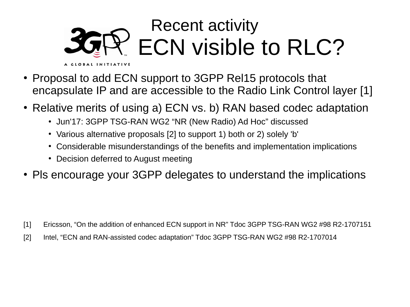#### Recent activity **3GRP:** ECN visible to RLC? A GLOBAL INITIATIVE

- Proposal to add ECN support to 3GPP Rel15 protocols that encapsulate IP and are accessible to the Radio Link Control layer [1]
- Relative merits of using a) ECN vs. b) RAN based codec adaptation
	- Jun'17: 3GPP TSG-RAN WG2 "NR (New Radio) Ad Hoc" discussed
	- Various alternative proposals [2] to support 1) both or 2) solely 'b'
	- Considerable misunderstandings of the benefits and implementation implications
	- Decision deferred to August meeting
- Pls encourage your 3GPP delegates to understand the implications

[1] Ericsson, "On the addition of enhanced ECN support in NR" Tdoc 3GPP TSG-RAN WG2 #98 R2-1707151

[2] Intel, "ECN and RAN-assisted codec adaptation" Tdoc 3GPP TSG-RAN WG2 #98 R2-1707014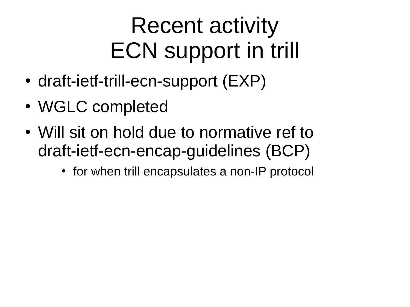# Recent activity ECN support in trill

- draft-ietf-trill-ecn-support (EXP)
- WGLC completed
- Will sit on hold due to normative ref to draft-ietf-ecn-encap-guidelines (BCP)
	- for when trill encapsulates a non-IP protocol